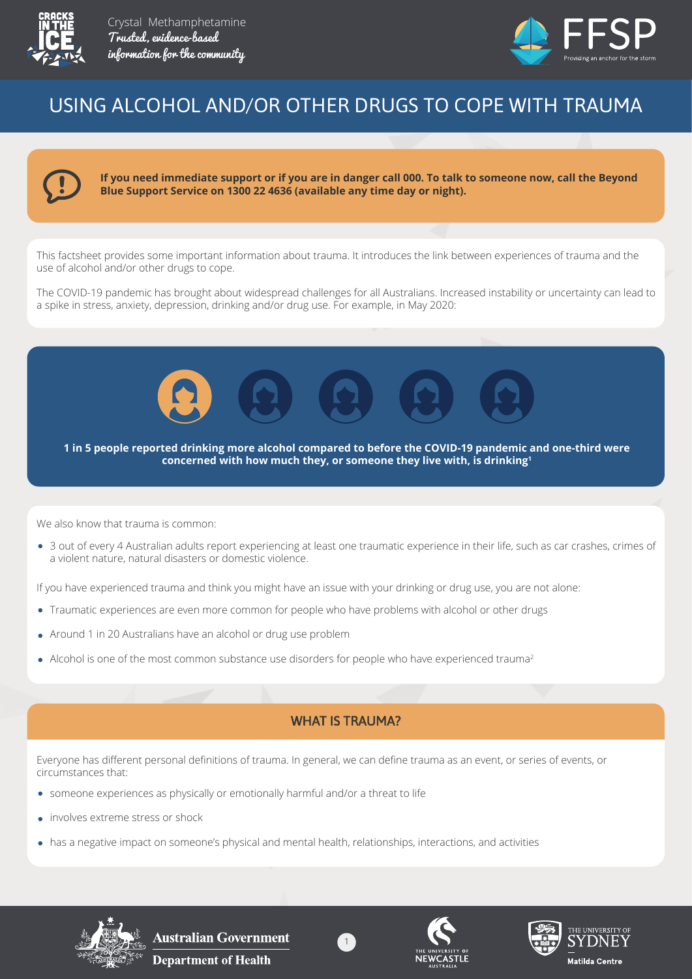



# USING ALCOHOL AND/OR OTHER DRUGS TO COPE WITH TRAUMA



**If you need immediate support or if you are in danger call 000. To talk to someone now, call the Beyond Blue Support Service on 1300 22 4636 (available any time day or night).**

This factsheet provides some important information about trauma. It introduces the link between experiences of trauma and the use of alcohol and/or other drugs to cope.

The COVID-19 pandemic has brought about widespread challenges for all Australians. Increased instability or uncertainty can lead to a spike in stress, anxiety, depression, drinking and/or drug use. For example, in May 2020:



**1 in 5 people reported drinking more alcohol compared to before the COVID-19 pandemic and one-third were concerned with how much they, or someone they live with, is drinking1**

We also know that trauma is common:

3 out of every 4 Australian adults report experiencing at least one traumatic experience in their life, such as car crashes, crimes of a violent nature, natural disasters or domestic violence.

If you have experienced trauma and think you might have an issue with your drinking or drug use, you are not alone:

- Traumatic experiences are even more common for people who have problems with alcohol or other drugs
- Around 1 in 20 Australians have an alcohol or drug use problem
- Alcohol is one of the most common substance use disorders for people who have experienced trauma<sup>2</sup>

#### WHAT IS TRAUMA?

Everyone has different personal definitions of trauma. In general, we can define trauma as an event, or series of events, or circumstances that:

- someone experiences as physically or emotionally harmful and/or a threat to life
- involves extreme stress or shock
- has a negative impact on someone's physical and mental health, relationships, interactions, and activities



Australian Government **Department of Health** 





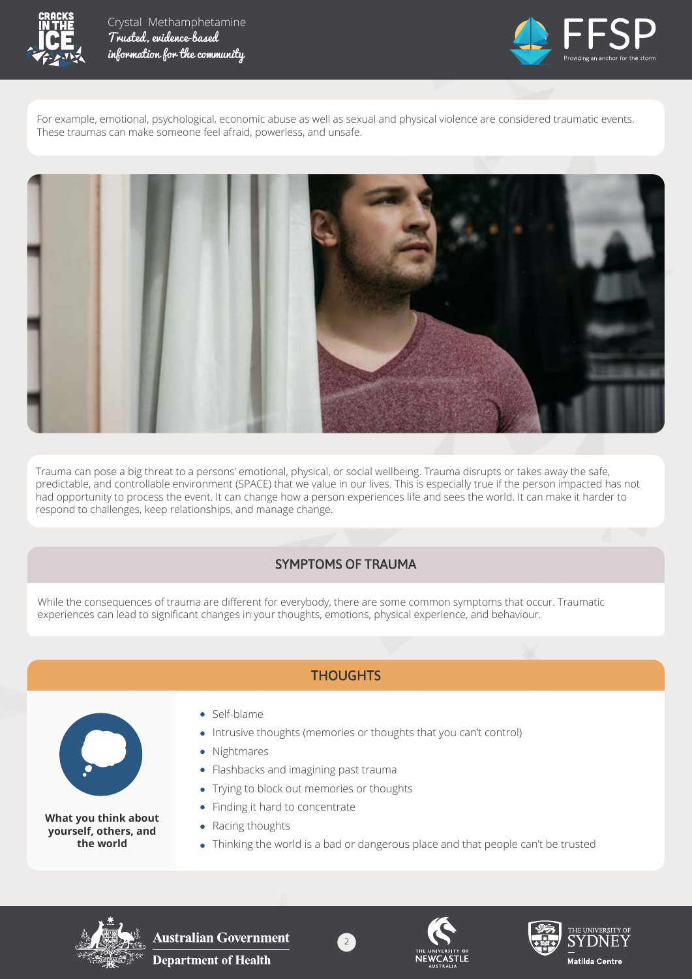



For example, emotional, psychological, economic abuse as well as sexual and physical violence are considered traumatic events. These traumas can make someone feel afraid, powerless, and unsafe.



Trauma can pose a big threat to a persons' emotional, physical, or social wellbeing. Trauma disrupts or takes away the safe, predictable, and controllable environment (SPACE) that we value in our lives. This is especially true if the person impacted has not had opportunity to process the event. It can change how a person experiences life and sees the world. It can make it harder to respond to challenges, keep relationships, and manage change.

#### SYMPTOMS OF TRAUMA

While the consequences of trauma are different for everybody, there are some common symptoms that occur. Traumatic experiences can lead to significant changes in your thoughts, emotions, physical experience, and behaviour.

## **THOUGHTS**



**What you think about yourself, others, and the world**

- Self-blame
- Intrusive thoughts (memories or thoughts that you can't control)

2

- Nightmares
- Flashbacks and imagining past trauma
- Trying to block out memories or thoughts
- Finding it hard to concentrate
- Racing thoughts
- Thinking the world is a bad or dangerous place and that people can't be trusted





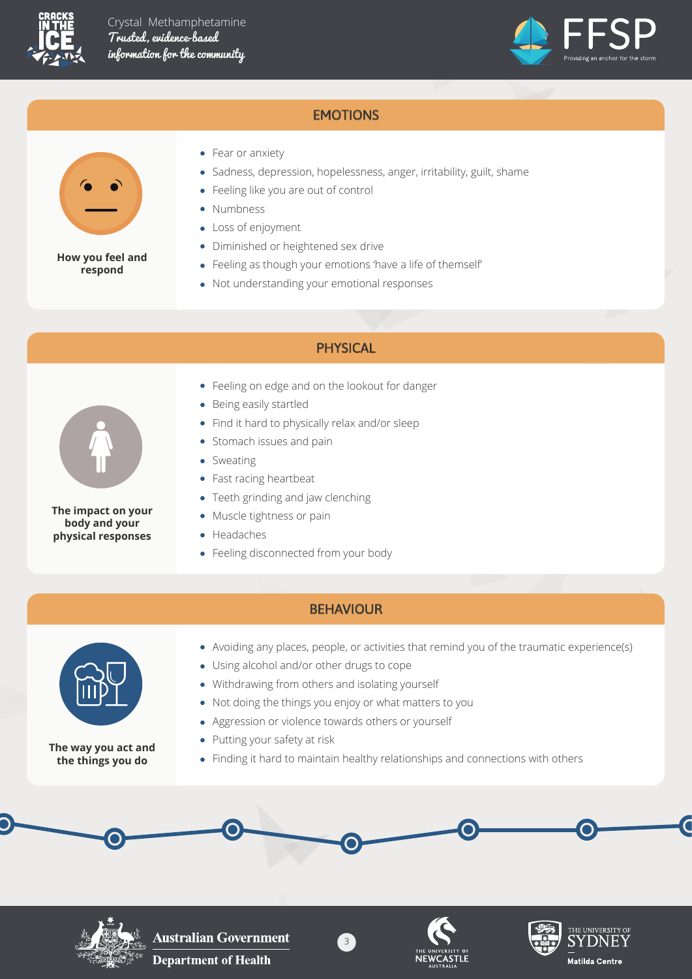



## **EMOTIONS**



**How you feel and respond**

- Fear or anxiety
- Sadness, depression, hopelessness, anger, irritability, guilt, shame
- Feeling like you are out of control
- Numbness
- Loss of enjoyment
- Diminished or heightened sex drive
- Feeling as though your emotions 'have a life of themself'
- Not understanding your emotional responses

#### PHYSICAL



**The impact on your body and your physical responses**

- Feeling on edge and on the lookout for danger
- Being easily startled
- Find it hard to physically relax and/or sleep
- Stomach issues and pain  $\bullet$
- Sweating
- Fast racing heartbeat
- Teeth grinding and jaw clenching
- Muscle tightness or pain
- Headaches
- Feeling disconnected from your body

#### **BEHAVIOUR**



**The way you act and the things you do**

- Avoiding any places, people, or activities that remind you of the traumatic experience(s)
- Using alcohol and/or other drugs to cope
- Withdrawing from others and isolating yourself
- Not doing the things you enjoy or what matters to you
- Aggression or violence towards others or yourself
- Putting your safety at risk
- Finding it hard to maintain healthy relationships and connections with others



**Australian Government Department of Health** 





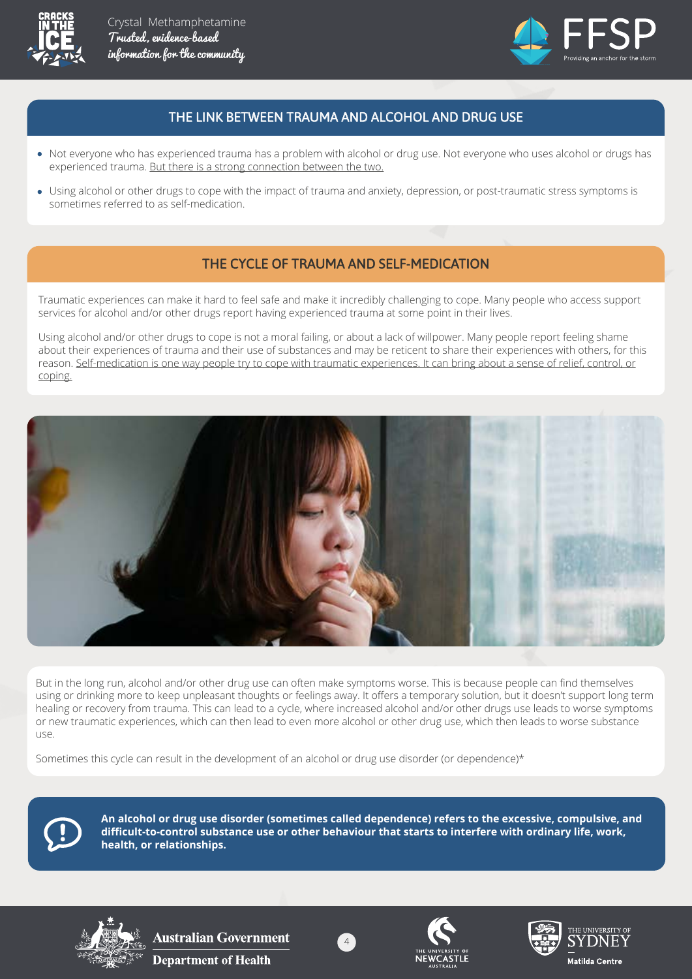



### THE LINK BETWEEN TRAUMA AND ALCOHOL AND DRUG USE

- Not everyone who has experienced trauma has a problem with alcohol or drug use. Not everyone who uses alcohol or drugs has experienced trauma. But there is a strong connection between the two.
- Using alcohol or other drugs to cope with the impact of trauma and anxiety, depression, or post-traumatic stress symptoms is sometimes referred to as self-medication.

#### THE CYCLE OF TRAUMA AND SELF-MEDICATION

Traumatic experiences can make it hard to feel safe and make it incredibly challenging to cope. Many people who access support services for alcohol and/or other drugs report having experienced trauma at some point in their lives.

Using alcohol and/or other drugs to cope is not a moral failing, or about a lack of willpower. Many people report feeling shame about their experiences of trauma and their use of substances and may be reticent to share their experiences with others, for this reason. Self-medication is one way people try to cope with traumatic experiences. It can bring about a sense of relief, control, or coping.



But in the long run, alcohol and/or other drug use can often make symptoms worse. This is because people can find themselves using or drinking more to keep unpleasant thoughts or feelings away. It offers a temporary solution, but it doesn't support long term healing or recovery from trauma. This can lead to a cycle, where increased alcohol and/or other drugs use leads to worse symptoms or new traumatic experiences, which can then lead to even more alcohol or other drug use, which then leads to worse substance use.

Sometimes this cycle can result in the development of an alcohol or drug use disorder (or dependence)\*



**An alcohol or drug use disorder (sometimes called dependence) refers to the excessive, compulsive, and difficult-to-control substance use or other behaviour that starts to interfere with ordinary life, work, health, or relationships.**



**Australian Government Department of Health** 





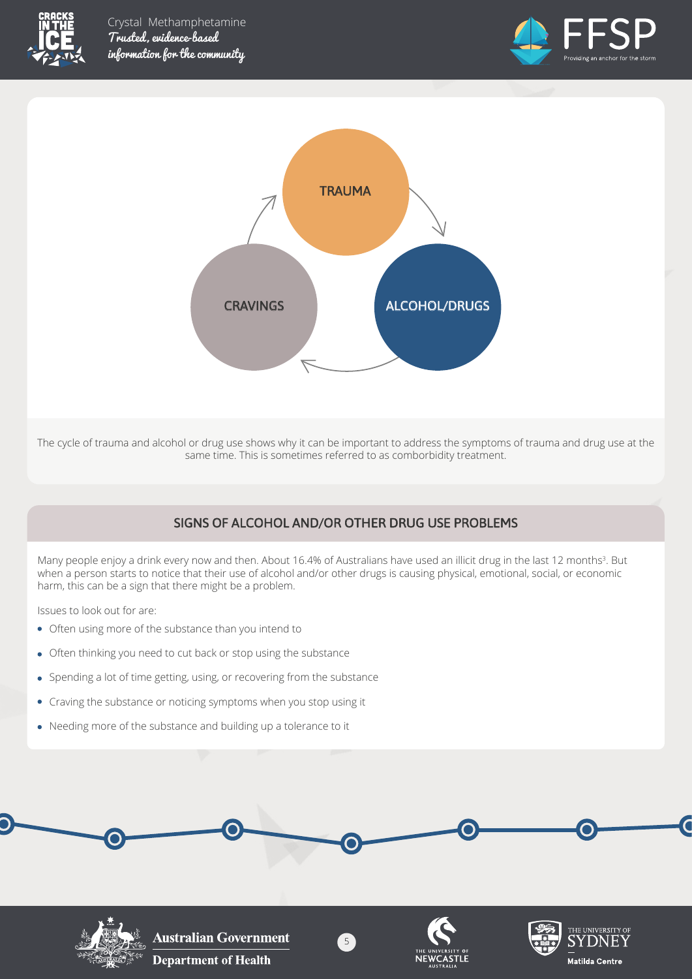





The cycle of trauma and alcohol or drug use shows why it can be important to address the symptoms of trauma and drug use at the same time. This is sometimes referred to as comborbidity treatment.

## SIGNS OF ALCOHOL AND/OR OTHER DRUG USE PROBLEMS

Many people enjoy a drink every now and then. About 16.4% of Australians have used an illicit drug in the last 12 months<sup>3</sup>. But when a person starts to notice that their use of alcohol and/or other drugs is causing physical, emotional, social, or economic harm, this can be a sign that there might be a problem.

Issues to look out for are:

- Often using more of the substance than you intend to
- Often thinking you need to cut back or stop using the substance
- Spending a lot of time getting, using, or recovering from the substance
- Craving the substance or noticing symptoms when you stop using it
- Needing more of the substance and building up a tolerance to it



5







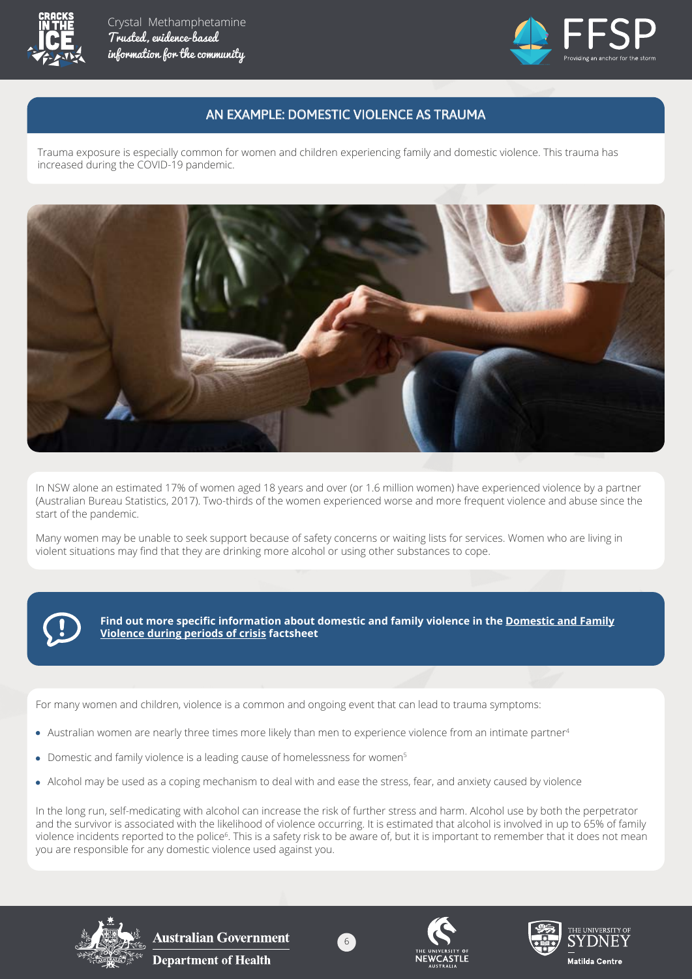



#### AN EXAMPLE: DOMESTIC VIOLENCE AS TRAUMA

Trauma exposure is especially common for women and children experiencing family and domestic violence. This trauma has increased during the COVID-19 pandemic.



In NSW alone an estimated 17% of women aged 18 years and over (or 1.6 million women) have experienced violence by a partner (Australian Bureau Statistics, 2017). Two-thirds of the women experienced worse and more frequent violence and abuse since the start of the pandemic.

Many women may be unable to seek support because of safety concerns or waiting lists for services. Women who are living in violent situations may find that they are drinking more alcohol or using other substances to cope.



**Find out more specific information about domestic and family violence in the Domestic and Family Violence during periods of crisis factsheet**

For many women and children, violence is a common and ongoing event that can lead to trauma symptoms:

- Australian women are nearly three times more likely than men to experience violence from an intimate partner<sup>4</sup>
- Domestic and family violence is a leading cause of homelessness for women<sup>5</sup>
- Alcohol may be used as a coping mechanism to deal with and ease the stress, fear, and anxiety caused by violence

In the long run, self-medicating with alcohol can increase the risk of further stress and harm. Alcohol use by both the perpetrator and the survivor is associated with the likelihood of violence occurring. It is estimated that alcohol is involved in up to 65% of family violence incidents reported to the police<sup>6</sup>. This is a safety risk to be aware of, but it is important to remember that it does not mean you are responsible for any domestic violence used against you.

6







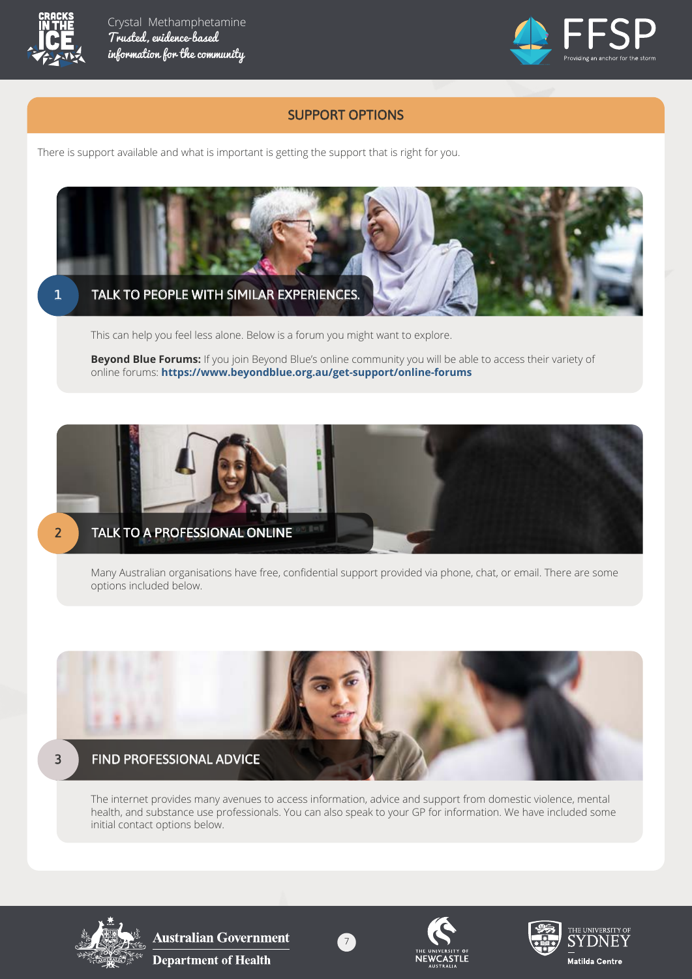



#### SUPPORT OPTIONS

There is support available and what is important is getting the support that is right for you.



This can help you feel less alone. Below is a forum you might want to explore.

**Beyond Blue Forums:** If you join Beyond Blue's online community you will be able to access their variety of online forums: **https://www.beyondblue.org.au/get-support/online-forums**



Many Australian organisations have free, confidential support provided via phone, chat, or email. There are some options included below.



The internet provides many avenues to access information, advice and support from domestic violence, mental health, and substance use professionals. You can also speak to your GP for information. We have included some initial contact options below.